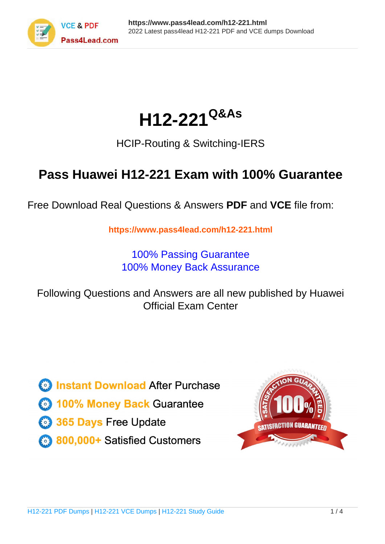

# **H12-221Q&As**

### HCIP-Routing & Switching-IERS

## **Pass Huawei H12-221 Exam with 100% Guarantee**

Free Download Real Questions & Answers **PDF** and **VCE** file from:

**https://www.pass4lead.com/h12-221.html**

100% Passing Guarantee 100% Money Back Assurance

Following Questions and Answers are all new published by Huawei Official Exam Center

**8 Instant Download After Purchase 83 100% Money Back Guarantee** 

- 365 Days Free Update
- 800,000+ Satisfied Customers

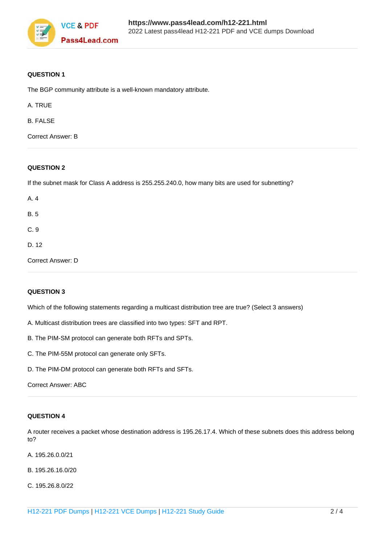

#### **QUESTION 1**

The BGP community attribute is a well-known mandatory attribute.

A. TRUE

B. FALSE

Correct Answer: B

#### **QUESTION 2**

If the subnet mask for Class A address is 255.255.240.0, how many bits are used for subnetting?

| A. 4              |  |  |
|-------------------|--|--|
| <b>B.5</b>        |  |  |
| C.9               |  |  |
| D. 12             |  |  |
| Correct Answer: D |  |  |

#### **QUESTION 3**

Which of the following statements regarding a multicast distribution tree are true? (Select 3 answers)

A. Multicast distribution trees are classified into two types: SFT and RPT.

B. The PIM-SM protocol can generate both RFTs and SPTs.

C. The PIM-55M protocol can generate only SFTs.

D. The PIM-DM protocol can generate both RFTs and SFTs.

#### **QUESTION 4**

A router receives a packet whose destination address is 195.26.17.4. Which of these subnets does this address belong to?

- A. 195.26.0.0/21
- B. 195.26.16.0/20
- C. 195.26.8.0/22

Correct Answer: ABC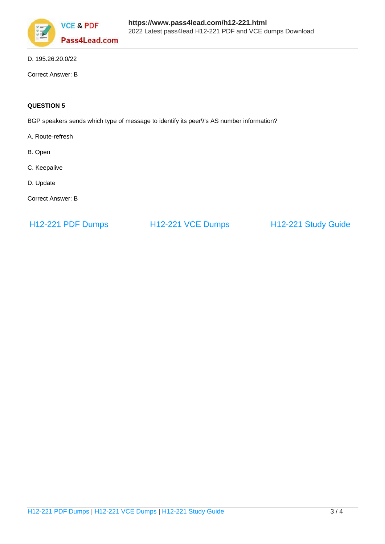

D. 195.26.20.0/22

Correct Answer: B

#### **QUESTION 5**

BGP speakers sends which type of message to identify its peer\\'s AS number information?

- A. Route-refresh
- B. Open
- C. Keepalive
- D. Update
- Correct Answer: B

[H12-221 PDF Dumps](https://www.pass4lead.com/h12-221.html) [H12-221 VCE Dumps](https://www.pass4lead.com/h12-221.html) [H12-221 Study Guide](https://www.pass4lead.com/h12-221.html)